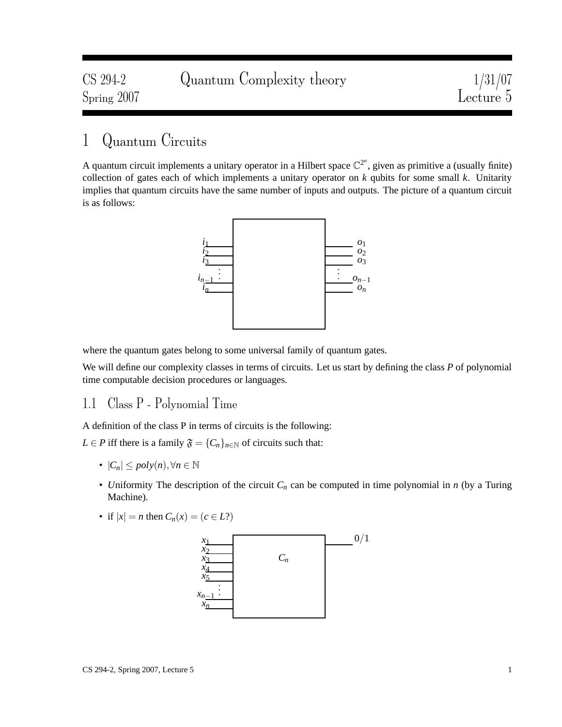| CS 294-2    | Quantum Complexity theory | $\frac{1/31/07}{\text{Lecture 5}}$ |
|-------------|---------------------------|------------------------------------|
| Spring 2007 |                           |                                    |

# 1 Quantum Circuits

A quantum circuit implements a unitary operator in a Hilbert space  $\mathbb{C}^{2^n}$ , given as primitive a (usually finite) collection of gates each of which implements a unitary operator on *k* qubits for some small *k*. Unitarity implies that quantum circuits have the same number of inputs and outputs. The picture of a quantum circuit is as follows:



where the quantum gates belong to some universal family of quantum gates.

We will define our complexity classes in terms of circuits. Let us start by defining the class *P* of polynomial time computable decision procedures or languages.

### 1.1 Class P - Polynomial Time

A definition of the class P in terms of circuits is the following:

*L* ∈ *P* iff there is a family  $\mathfrak{F} = \{C_n\}_{n \in \mathbb{N}}$  of circuits such that:

- $\bullet$   $|C_n|$  ≤  $poly(n), \forall n \in \mathbb{N}$
- *U*niformity The description of the circuit *C<sup>n</sup>* can be computed in time polynomial in *n* (by a Turing Machine).
- if  $|x| = n$  then  $C_n(x) = (c \in L?)$

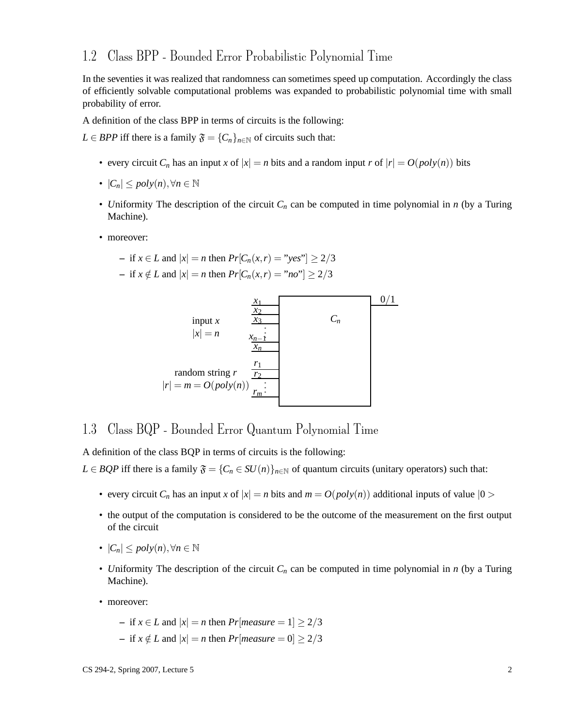### 1.2 Class BPP - Bounded Error Probabilistic Polynomial Time

In the seventies it was realized that randomness can sometimes speed up computation. Accordingly the class of efficiently solvable computational problems was expanded to probabilistic polynomial time with small probability of error.

A definition of the class BPP in terms of circuits is the following:

*L* ∈ *BPP* iff there is a family  $\mathfrak{F} = \{C_n\}_{n \in \mathbb{N}}$  of circuits such that:

- every circuit  $C_n$  has an input *x* of  $|x| = n$  bits and a random input *r* of  $|r| = O(poly(n))$  bits
- $\bullet$   $|C_n|$  ≤  $poly(n), \forall n \in \mathbb{N}$
- *U*niformity The description of the circuit *C<sup>n</sup>* can be computed in time polynomial in *n* (by a Turing Machine).
- moreover:

- if 
$$
x \in L
$$
 and  $|x| = n$  then  $Pr[C_n(x, r) = "yes"] \ge 2/3$ 

**−** if *x* ∉ *L* and  $|x| = n$  then  $Pr[C_n(x, r) = "no"] \ge 2/3$ 



## 1.3 Class BQP - Bounded Error Quantum Polynomial Time

A definition of the class BQP in terms of circuits is the following:

*L* ∈ *BQP* iff there is a family  $\mathfrak{F} = \{C_n \in SU(n)\}_{n \in \mathbb{N}}$  of quantum circuits (unitary operators) such that:

- every circuit  $C_n$  has an input *x* of  $|x| = n$  bits and  $m = O(poly(n))$  additional inputs of value  $|0>$
- the output of the computation is considered to be the outcome of the measurement on the first output of the circuit
- $\bullet$   $|C_n|$  ≤  $poly(n), \forall n \in \mathbb{N}$
- *U*niformity The description of the circuit *C<sup>n</sup>* can be computed in time polynomial in *n* (by a Turing Machine).
- moreover:

\n- if 
$$
x \in L
$$
 and  $|x| = n$  then  $Pr[measure = 1] \geq 2/3$
\n- if  $x \notin L$  and  $|x| = n$  then  $Pr[measure = 0] \geq 2/3$
\n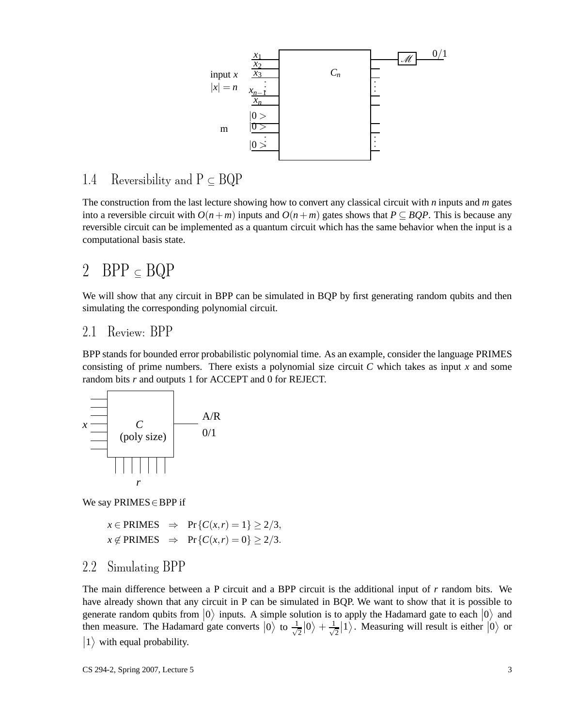

# 1.4 Reversibility and  $P \subseteq BQP$

The construction from the last lecture showing how to convert any classical circuit with *n* inputs and *m* gates into a reversible circuit with  $O(n+m)$  inputs and  $O(n+m)$  gates shows that  $P \subseteq BOP$ . This is because any reversible circuit can be implemented as a quantum circuit which has the same behavior when the input is a computational basis state.

# 2 BPP  $\subseteq BQP$

We will show that any circuit in BPP can be simulated in BQP by first generating random qubits and then simulating the corresponding polynomial circuit.

#### 2.1 Review: BPP

BPP stands for bounded error probabilistic polynomial time. As an example, consider the language PRIMES consisting of prime numbers. There exists a polynomial size circuit  $C$  which takes as input  $x$  and some random bits *r* and outputs 1 for ACCEPT and 0 for REJECT.



We say PRIMES∈BPP if

 $x \in \text{PRIMES} \Rightarrow \text{Pr}\{C(x,r) = 1\} \geq 2/3,$  $x \notin$  PRIMES  $\Rightarrow$  Pr{ $C(x,r) = 0$ }  $\geq 2/3$ .

### 2.2 Simulating BPP

The main difference between a P circuit and a BPP circuit is the additional input of *r* random bits. We have already shown that any circuit in P can be simulated in BQP. We want to show that it is possible to generate random qubits from  $|0\rangle$  inputs. A simple solution is to apply the Hadamard gate to each  $|0\rangle$  and then measure. The Hadamard gate converts  $|0\rangle$  to  $\frac{1}{\sqrt{2}}$  $\frac{1}{2}|0\rangle + \frac{1}{\sqrt{2}}$  $\frac{1}{2}$  | 1 \ Measuring will result is either  $|0\rangle$  or  $|1\rangle$  with equal probability.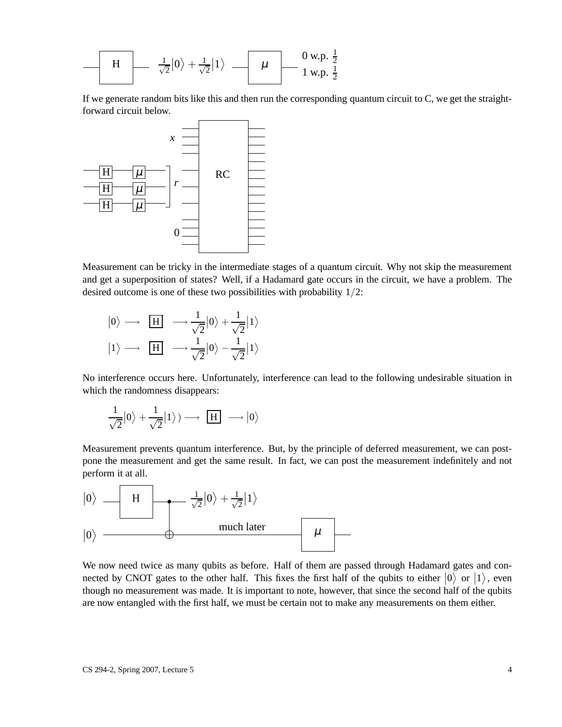$$
\begin{array}{c|c}\n\hline\nH & \frac{1}{\sqrt{2}}|0\rangle + \frac{1}{\sqrt{2}}|1\rangle & \mu & \frac{0 \text{ w.p. } \frac{1}{2}}{1 \text{ w.p. } \frac{1}{2}}\n\end{array}
$$

If we generate random bits like this and then run the corresponding quantum circuit to C, we get the straightforward circuit below.



Measurement can be tricky in the intermediate stages of a quantum circuit. Why not skip the measurement and get a superposition of states? Well, if a Hadamard gate occurs in the circuit, we have a problem. The desired outcome is one of these two possibilities with probability 1/2:

 $|0\rangle \longrightarrow \boxed{H} \longrightarrow \frac{1}{\sqrt{2}}$  $\sqrt{2}$  $\ket{0} + \frac{1}{\sqrt{2}}$  $\sqrt{2}$  $\ket{1}$  $|1\rangle \longrightarrow \boxed{H} \longrightarrow \frac{1}{\sqrt{2}}$  $\sqrt{2}$  $\ket{0} -$ 1  $\sqrt{2}$  $\ket{1}$ 

No interference occurs here. Unfortunately, interference can lead to the following undesirable situation in which the randomness disappears:

$$
\frac{1}{\sqrt{2}}|0\rangle + \frac{1}{\sqrt{2}}|1\rangle) \longrightarrow \boxed{H} \longrightarrow |0\rangle
$$

Measurement prevents quantum interference. But, by the principle of deferred measurement, we can postpone the measurement and get the same result. In fact, we can post the measurement indefinitely and not perform it at all.



We now need twice as many qubits as before. Half of them are passed through Hadamard gates and connected by CNOT gates to the other half. This fixes the first half of the qubits to either  $|0\rangle$  or  $|1\rangle$ , even though no measurement was made. It is important to note, however, that since the second half of the qubits are now entangled with the first half, we must be certain not to make any measurements on them either.